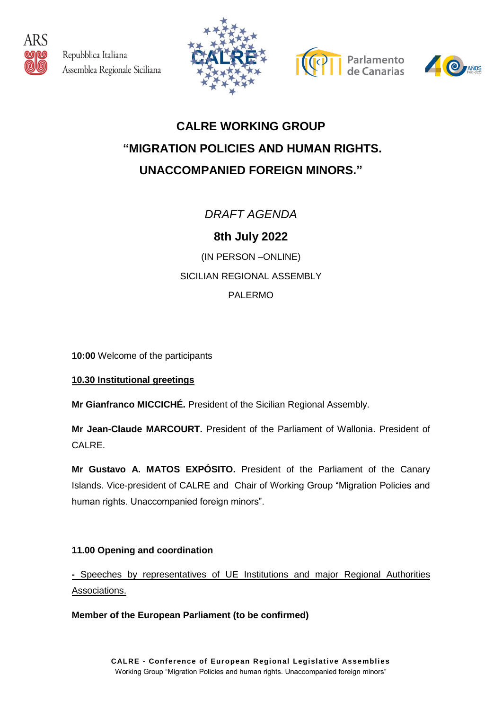

Repubblica Italiana Assemblea Regionale Siciliana







## **CALRE WORKING GROUP "MIGRATION POLICIES AND HUMAN RIGHTS. UNACCOMPANIED FOREIGN MINORS."**

*DRAFT AGENDA*

**8th July 2022**

(IN PERSON –ONLINE) SICILIAN REGIONAL ASSEMBLY PALERMO

**10:00** Welcome of the participants

## **10.30 Institutional greetings**

**Mr Gianfranco MICCICHÉ.** President of the Sicilian Regional Assembly.

**Mr Jean-Claude MARCOURT.** President of the Parliament of Wallonia. President of CALRE.

**Mr Gustavo A. MATOS EXPÓSITO.** President of the Parliament of the Canary Islands. Vice-president of CALRE and Chair of Working Group "Migration Policies and human rights. Unaccompanied foreign minors".

## **11.00 Opening and coordination**

**-** Speeches by representatives of UE Institutions and major Regional Authorities Associations.

**Member of the European Parliament (to be confirmed)**